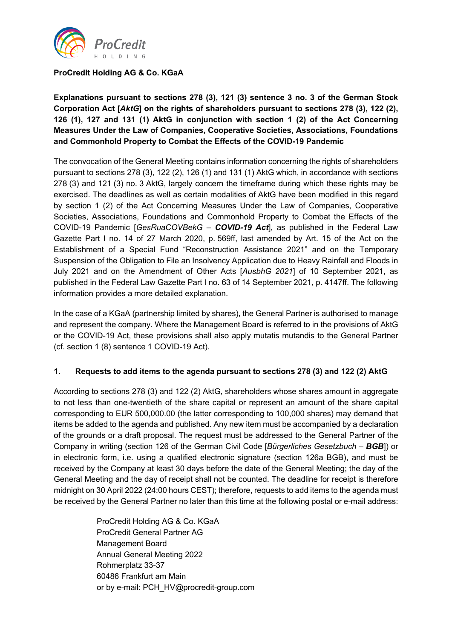

### **ProCredit Holding AG & Co. KGaA**

**Explanations pursuant to sections 278 (3), 121 (3) sentence 3 no. 3 of the German Stock Corporation Act [***AktG***] on the rights of shareholders pursuant to sections 278 (3), 122 (2), 126 (1), 127 and 131 (1) AktG in conjunction with section 1 (2) of the Act Concerning Measures Under the Law of Companies, Cooperative Societies, Associations, Foundations and Commonhold Property to Combat the Effects of the COVID-19 Pandemic**

The convocation of the General Meeting contains information concerning the rights of shareholders pursuant to sections 278 (3), 122 (2), 126 (1) and 131 (1) AktG which, in accordance with sections 278 (3) and 121 (3) no. 3 AktG, largely concern the timeframe during which these rights may be exercised. The deadlines as well as certain modalities of AktG have been modified in this regard by section 1 (2) of the Act Concerning Measures Under the Law of Companies, Cooperative Societies, Associations, Foundations and Commonhold Property to Combat the Effects of the COVID-19 Pandemic [*GesRuaCOVBekG – COVID-19 Act*], as published in the Federal Law Gazette Part I no. 14 of 27 March 2020, p. 569ff, last amended by Art. 15 of the Act on the Establishment of a Special Fund "Reconstruction Assistance 2021" and on the Temporary Suspension of the Obligation to File an Insolvency Application due to Heavy Rainfall and Floods in July 2021 and on the Amendment of Other Acts [*AusbhG 2021*] of 10 September 2021, as published in the Federal Law Gazette Part I no. 63 of 14 September 2021, p. 4147ff. The following information provides a more detailed explanation.

In the case of a KGaA (partnership limited by shares), the General Partner is authorised to manage and represent the company. Where the Management Board is referred to in the provisions of AktG or the COVID-19 Act, these provisions shall also apply mutatis mutandis to the General Partner (cf. section 1 (8) sentence 1 COVID-19 Act).

#### **1. Requests to add items to the agenda pursuant to sections 278 (3) and 122 (2) AktG**

According to sections 278 (3) and 122 (2) AktG, shareholders whose shares amount in aggregate to not less than one-twentieth of the share capital or represent an amount of the share capital corresponding to EUR 500,000.00 (the latter corresponding to 100,000 shares) may demand that items be added to the agenda and published. Any new item must be accompanied by a declaration of the grounds or a draft proposal. The request must be addressed to the General Partner of the Company in writing (section 126 of the German Civil Code [*Bürgerliches Gesetzbuch – BGB*]) or in electronic form, i.e. using a qualified electronic signature (section 126a BGB), and must be received by the Company at least 30 days before the date of the General Meeting; the day of the General Meeting and the day of receipt shall not be counted. The deadline for receipt is therefore midnight on 30 April 2022 (24:00 hours CEST); therefore, requests to add items to the agenda must be received by the General Partner no later than this time at the following postal or e-mail address:

> ProCredit Holding AG & Co. KGaA ProCredit General Partner AG Management Board Annual General Meeting 2022 Rohmerplatz 33-37 60486 Frankfurt am Main or by e-mail: PCH\_HV@procredit-group.com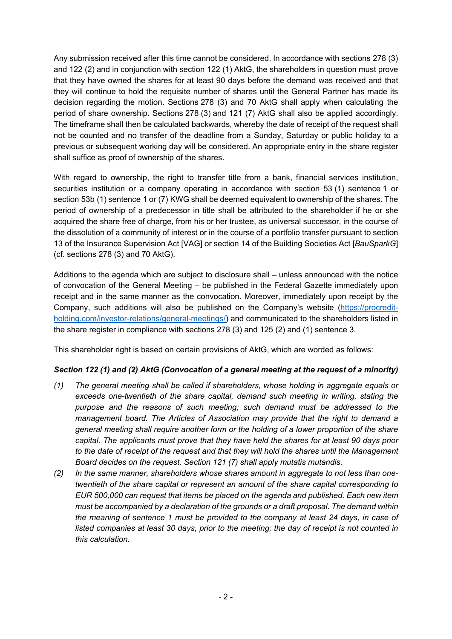Any submission received after this time cannot be considered. In accordance with sections 278 (3) and 122 (2) and in conjunction with section 122 (1) AktG, the shareholders in question must prove that they have owned the shares for at least 90 days before the demand was received and that they will continue to hold the requisite number of shares until the General Partner has made its decision regarding the motion. Sections 278 (3) and 70 AktG shall apply when calculating the period of share ownership. Sections 278 (3) and 121 (7) AktG shall also be applied accordingly. The timeframe shall then be calculated backwards, whereby the date of receipt of the request shall not be counted and no transfer of the deadline from a Sunday, Saturday or public holiday to a previous or subsequent working day will be considered. An appropriate entry in the share register shall suffice as proof of ownership of the shares.

With regard to ownership, the right to transfer title from a bank, financial services institution, securities institution or a company operating in accordance with section 53 (1) sentence 1 or section 53b (1) sentence 1 or (7) KWG shall be deemed equivalent to ownership of the shares. The period of ownership of a predecessor in title shall be attributed to the shareholder if he or she acquired the share free of charge, from his or her trustee, as universal successor, in the course of the dissolution of a community of interest or in the course of a portfolio transfer pursuant to section 13 of the Insurance Supervision Act [VAG] or section 14 of the Building Societies Act [*BauSparkG*] (cf. sections 278 (3) and 70 AktG).

Additions to the agenda which are subject to disclosure shall – unless announced with the notice of convocation of the General Meeting – be published in the Federal Gazette immediately upon receipt and in the same manner as the convocation. Moreover, immediately upon receipt by the Company, such additions will also be published on the Company's website [\(https://procredit](https://procredit-holding.com/investor-relations/general-meetings/)[holding.com/investor-relations/general-meetings/\)](https://procredit-holding.com/investor-relations/general-meetings/) and communicated to the shareholders listed in the share register in compliance with sections 278 (3) and 125 (2) and (1) sentence 3.

This shareholder right is based on certain provisions of AktG, which are worded as follows:

# *Section 122 (1) and (2) AktG (Convocation of a general meeting at the request of a minority)*

- *(1) The general meeting shall be called if shareholders, whose holding in aggregate equals or exceeds one-twentieth of the share capital, demand such meeting in writing, stating the purpose and the reasons of such meeting; such demand must be addressed to the management board. The Articles of Association may provide that the right to demand a general meeting shall require another form or the holding of a lower proportion of the share capital. The applicants must prove that they have held the shares for at least 90 days prior to the date of receipt of the request and that they will hold the shares until the Management Board decides on the request. Section 121 (7) shall apply mutatis mutandis.*
- *(2) In the same manner, shareholders whose shares amount in aggregate to not less than onetwentieth of the share capital or represent an amount of the share capital corresponding to EUR 500,000 can request that items be placed on the agenda and published. Each new item must be accompanied by a declaration of the grounds or a draft proposal. The demand within the meaning of sentence 1 must be provided to the company at least 24 days, in case of listed companies at least 30 days, prior to the meeting; the day of receipt is not counted in this calculation.*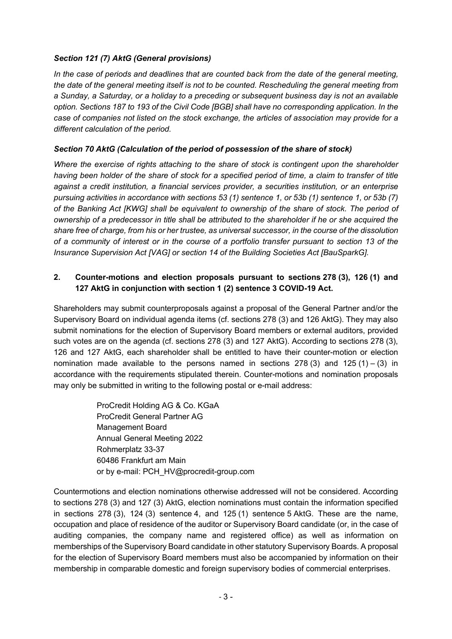### *Section 121 (7) AktG (General provisions)*

*In the case of periods and deadlines that are counted back from the date of the general meeting, the date of the general meeting itself is not to be counted. Rescheduling the general meeting from a Sunday, a Saturday, or a holiday to a preceding or subsequent business day is not an available option. Sections 187 to 193 of the Civil Code [BGB] shall have no corresponding application. In the case of companies not listed on the stock exchange, the articles of association may provide for a different calculation of the period.*

## *Section 70 AktG (Calculation of the period of possession of the share of stock)*

*Where the exercise of rights attaching to the share of stock is contingent upon the shareholder having been holder of the share of stock for a specified period of time, a claim to transfer of title against a credit institution, a financial services provider, a securities institution, or an enterprise pursuing activities in accordance with sections 53 (1) sentence 1, or 53b (1) sentence 1, or 53b (7) of the Banking Act [KWG] shall be equivalent to ownership of the share of stock. The period of ownership of a predecessor in title shall be attributed to the shareholder if he or she acquired the share free of charge, from his or her trustee, as universal successor, in the course of the dissolution of a community of interest or in the course of a portfolio transfer pursuant to section 13 of the Insurance Supervision Act [VAG] or section 14 of the Building Societies Act [BauSparkG].*

# **2. Counter-motions and election proposals pursuant to sections 278 (3), 126 (1) and 127 AktG in conjunction with section 1 (2) sentence 3 COVID-19 Act.**

Shareholders may submit counterproposals against a proposal of the General Partner and/or the Supervisory Board on individual agenda items (cf. sections 278 (3) and 126 AktG). They may also submit nominations for the election of Supervisory Board members or external auditors, provided such votes are on the agenda (cf. sections 278 (3) and 127 AktG). According to sections 278 (3), 126 and 127 AktG, each shareholder shall be entitled to have their counter-motion or election nomination made available to the persons named in sections  $278(3)$  and  $125(1) - (3)$  in accordance with the requirements stipulated therein. Counter-motions and nomination proposals may only be submitted in writing to the following postal or e-mail address:

> ProCredit Holding AG & Co. KGaA ProCredit General Partner AG Management Board Annual General Meeting 2022 Rohmerplatz 33-37 60486 Frankfurt am Main or by e-mail: PCH\_HV@procredit-group.com

Countermotions and election nominations otherwise addressed will not be considered. According to sections 278 (3) and 127 (3) AktG, election nominations must contain the information specified in sections 278 (3), 124 (3) sentence 4, and 125 (1) sentence 5 AktG. These are the name, occupation and place of residence of the auditor or Supervisory Board candidate (or, in the case of auditing companies, the company name and registered office) as well as information on memberships of the Supervisory Board candidate in other statutory Supervisory Boards. A proposal for the election of Supervisory Board members must also be accompanied by information on their membership in comparable domestic and foreign supervisory bodies of commercial enterprises.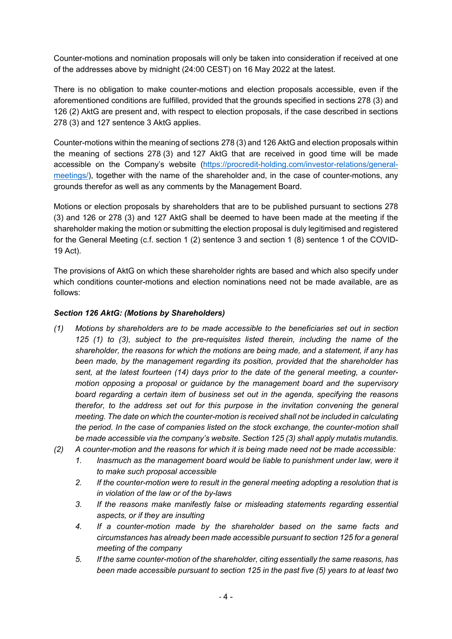Counter-motions and nomination proposals will only be taken into consideration if received at one of the addresses above by midnight (24:00 CEST) on 16 May 2022 at the latest.

There is no obligation to make counter-motions and election proposals accessible, even if the aforementioned conditions are fulfilled, provided that the grounds specified in sections 278 (3) and 126 (2) AktG are present and, with respect to election proposals, if the case described in sections 278 (3) and 127 sentence 3 AktG applies.

Counter-motions within the meaning of sections 278 (3) and 126 AktG and election proposals within the meaning of sections 278 (3) and 127 AktG that are received in good time will be made accessible on the Company's website [\(https://procredit-holding.com/investor-relations/general](https://procredit-holding.com/investor-relations/general-meetings/)[meetings/\)](https://procredit-holding.com/investor-relations/general-meetings/), together with the name of the shareholder and, in the case of counter-motions, any grounds therefor as well as any comments by the Management Board.

Motions or election proposals by shareholders that are to be published pursuant to sections 278 (3) and 126 or 278 (3) and 127 AktG shall be deemed to have been made at the meeting if the shareholder making the motion or submitting the election proposal is duly legitimised and registered for the General Meeting (c.f. section 1 (2) sentence 3 and section 1 (8) sentence 1 of the COVID-19 Act).

The provisions of AktG on which these shareholder rights are based and which also specify under which conditions counter-motions and election nominations need not be made available, are as follows:

### *Section 126 AktG: (Motions by Shareholders)*

- *(1) Motions by shareholders are to be made accessible to the beneficiaries set out in section 125 (1) to (3), subject to the pre-requisites listed therein, including the name of the shareholder, the reasons for which the motions are being made, and a statement, if any has been made, by the management regarding its position, provided that the shareholder has sent, at the latest fourteen (14) days prior to the date of the general meeting, a countermotion opposing a proposal or guidance by the management board and the supervisory board regarding a certain item of business set out in the agenda, specifying the reasons therefor, to the address set out for this purpose in the invitation convening the general meeting. The date on which the counter-motion is received shall not be included in calculating the period. In the case of companies listed on the stock exchange, the counter-motion shall be made accessible via the company's website. Section 125 (3) shall apply mutatis mutandis.*
- *(2) A counter-motion and the reasons for which it is being made need not be made accessible:* 
	- *1. Inasmuch as the management board would be liable to punishment under law, were it to make such proposal accessible*
	- *2. If the counter-motion were to result in the general meeting adopting a resolution that is in violation of the law or of the by-laws*
	- *3. If the reasons make manifestly false or misleading statements regarding essential aspects, or if they are insulting*
	- *4. If a counter-motion made by the shareholder based on the same facts and circumstances has already been made accessible pursuant to section 125 for a general meeting of the company*
	- *5. If the same counter-motion of the shareholder, citing essentially the same reasons, has been made accessible pursuant to section 125 in the past five (5) years to at least two*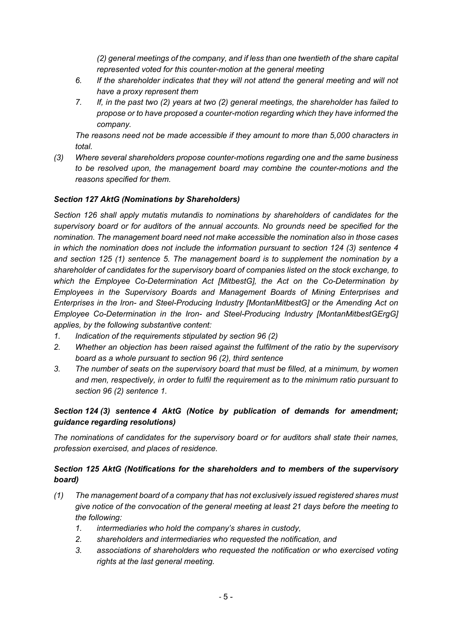*(2) general meetings of the company, and if less than one twentieth of the share capital represented voted for this counter-motion at the general meeting*

- *6. If the shareholder indicates that they will not attend the general meeting and will not have a proxy represent them*
- *7. If, in the past two (2) years at two (2) general meetings, the shareholder has failed to propose or to have proposed a counter-motion regarding which they have informed the company.*

*The reasons need not be made accessible if they amount to more than 5,000 characters in total.*

*(3) Where several shareholders propose counter-motions regarding one and the same business to be resolved upon, the management board may combine the counter-motions and the reasons specified for them.*

#### *Section 127 AktG (Nominations by Shareholders)*

*Section 126 shall apply mutatis mutandis to nominations by shareholders of candidates for the supervisory board or for auditors of the annual accounts. No grounds need be specified for the nomination. The management board need not make accessible the nomination also in those cases in which the nomination does not include the information pursuant to section 124 (3) sentence 4 and section 125 (1) sentence 5. The management board is to supplement the nomination by a shareholder of candidates for the supervisory board of companies listed on the stock exchange, to which the Employee Co-Determination Act [MitbestG], the Act on the Co-Determination by Employees in the Supervisory Boards and Management Boards of Mining Enterprises and Enterprises in the Iron- and Steel-Producing Industry [MontanMitbestG] or the Amending Act on Employee Co-Determination in the Iron- and Steel-Producing Industry [MontanMitbestGErgG] applies, by the following substantive content:*

- *1. Indication of the requirements stipulated by section 96 (2)*
- *2. Whether an objection has been raised against the fulfilment of the ratio by the supervisory board as a whole pursuant to section 96 (2), third sentence*
- *3. The number of seats on the supervisory board that must be filled, at a minimum, by women and men, respectively, in order to fulfil the requirement as to the minimum ratio pursuant to section 96 (2) sentence 1.*

# *Section 124 (3) sentence 4 AktG (Notice by publication of demands for amendment; guidance regarding resolutions)*

*The nominations of candidates for the supervisory board or for auditors shall state their names, profession exercised, and places of residence.*

### *Section 125 AktG (Notifications for the shareholders and to members of the supervisory board)*

- *(1) The management board of a company that has not exclusively issued registered shares must give notice of the convocation of the general meeting at least 21 days before the meeting to the following:*
	- *1. intermediaries who hold the company's shares in custody,*
	- *2. shareholders and intermediaries who requested the notification, and*
	- *3. associations of shareholders who requested the notification or who exercised voting rights at the last general meeting.*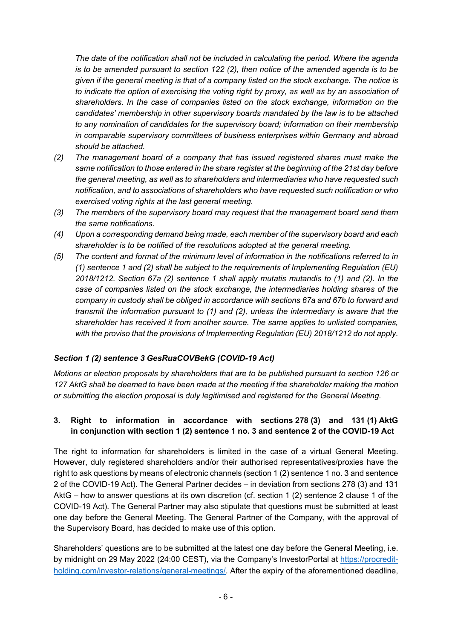*The date of the notification shall not be included in calculating the period. Where the agenda is to be amended pursuant to section 122 (2), then notice of the amended agenda is to be given if the general meeting is that of a company listed on the stock exchange. The notice is to indicate the option of exercising the voting right by proxy, as well as by an association of shareholders. In the case of companies listed on the stock exchange, information on the candidates' membership in other supervisory boards mandated by the law is to be attached to any nomination of candidates for the supervisory board; information on their membership in comparable supervisory committees of business enterprises within Germany and abroad should be attached.*

- *(2) The management board of a company that has issued registered shares must make the same notification to those entered in the share register at the beginning of the 21st day before the general meeting, as well as to shareholders and intermediaries who have requested such notification, and to associations of shareholders who have requested such notification or who exercised voting rights at the last general meeting.*
- *(3) The members of the supervisory board may request that the management board send them the same notifications.*
- *(4) Upon a corresponding demand being made, each member of the supervisory board and each shareholder is to be notified of the resolutions adopted at the general meeting.*
- *(5) The content and format of the minimum level of information in the notifications referred to in (1) sentence 1 and (2) shall be subject to the requirements of Implementing Regulation (EU) 2018/1212. Section 67a (2) sentence 1 shall apply mutatis mutandis to (1) and (2). In the case of companies listed on the stock exchange, the intermediaries holding shares of the company in custody shall be obliged in accordance with sections 67a and 67b to forward and transmit the information pursuant to (1) and (2), unless the intermediary is aware that the shareholder has received it from another source. The same applies to unlisted companies, with the proviso that the provisions of Implementing Regulation (EU) 2018/1212 do not apply.*

#### *Section 1 (2) sentence 3 GesRuaCOVBekG (COVID-19 Act)*

*Motions or election proposals by shareholders that are to be published pursuant to section 126 or 127 AktG shall be deemed to have been made at the meeting if the shareholder making the motion or submitting the election proposal is duly legitimised and registered for the General Meeting.*

# **3. Right to information in accordance with sections 278 (3) and 131 (1) AktG in conjunction with section 1 (2) sentence 1 no. 3 and sentence 2 of the COVID-19 Act**

The right to information for shareholders is limited in the case of a virtual General Meeting. However, duly registered shareholders and/or their authorised representatives/proxies have the right to ask questions by means of electronic channels (section 1 (2) sentence 1 no. 3 and sentence 2 of the COVID-19 Act). The General Partner decides – in deviation from sections 278 (3) and 131 AktG – how to answer questions at its own discretion (cf. section 1 (2) sentence 2 clause 1 of the COVID-19 Act). The General Partner may also stipulate that questions must be submitted at least one day before the General Meeting. The General Partner of the Company, with the approval of the Supervisory Board, has decided to make use of this option.

Shareholders' questions are to be submitted at the latest one day before the General Meeting, i.e. by midnight on 29 May 2022 (24:00 CEST), via the Company's InvestorPortal at [https://procredit](https://procredit-holding.com/investor-relations/general-meetings/)[holding.com/investor-relations/general-meetings/.](https://procredit-holding.com/investor-relations/general-meetings/) After the expiry of the aforementioned deadline,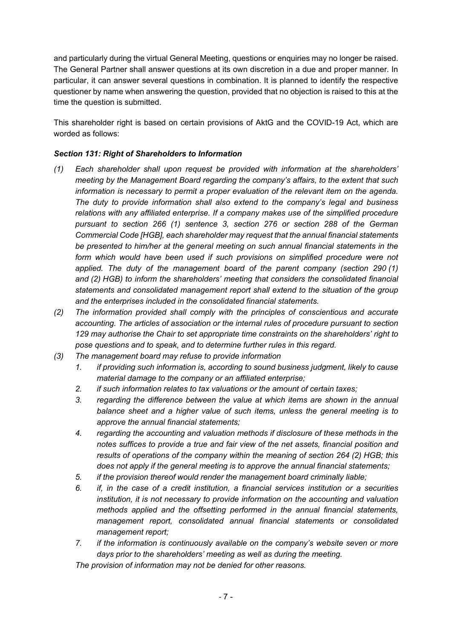and particularly during the virtual General Meeting, questions or enquiries may no longer be raised. The General Partner shall answer questions at its own discretion in a due and proper manner. In particular, it can answer several questions in combination. It is planned to identify the respective questioner by name when answering the question, provided that no objection is raised to this at the time the question is submitted.

This shareholder right is based on certain provisions of AktG and the COVID-19 Act, which are worded as follows:

## *Section 131: Right of Shareholders to Information*

- *(1) Each shareholder shall upon request be provided with information at the shareholders' meeting by the Management Board regarding the company's affairs, to the extent that such information is necessary to permit a proper evaluation of the relevant item on the agenda. The duty to provide information shall also extend to the company's legal and business relations with any affiliated enterprise. If a company makes use of the simplified procedure pursuant to section 266 (1) sentence 3, section 276 or section 288 of the German Commercial Code [HGB], each shareholder may request that the annual financial statements be presented to him/her at the general meeting on such annual financial statements in the*  form which would have been used if such provisions on simplified procedure were not *applied. The duty of the management board of the parent company (section 290 (1) and (2) HGB) to inform the shareholders' meeting that considers the consolidated financial statements and consolidated management report shall extend to the situation of the group and the enterprises included in the consolidated financial statements.*
- *(2) The information provided shall comply with the principles of conscientious and accurate accounting. The articles of association or the internal rules of procedure pursuant to section 129 may authorise the Chair to set appropriate time constraints on the shareholders' right to pose questions and to speak, and to determine further rules in this regard.*
- *(3) The management board may refuse to provide information* 
	- *1. if providing such information is, according to sound business judgment, likely to cause material damage to the company or an affiliated enterprise;*
	- *2. if such information relates to tax valuations or the amount of certain taxes;*
	- *3. regarding the difference between the value at which items are shown in the annual balance sheet and a higher value of such items, unless the general meeting is to approve the annual financial statements;*
	- *4. regarding the accounting and valuation methods if disclosure of these methods in the notes suffices to provide a true and fair view of the net assets, financial position and results of operations of the company within the meaning of section 264 (2) HGB; this does not apply if the general meeting is to approve the annual financial statements;*
	- *5. if the provision thereof would render the management board criminally liable;*
	- *6. if, in the case of a credit institution, a financial services institution or a securities institution, it is not necessary to provide information on the accounting and valuation methods applied and the offsetting performed in the annual financial statements, management report, consolidated annual financial statements or consolidated management report;*
	- *7. if the information is continuously available on the company's website seven or more days prior to the shareholders' meeting as well as during the meeting.*

*The provision of information may not be denied for other reasons.*